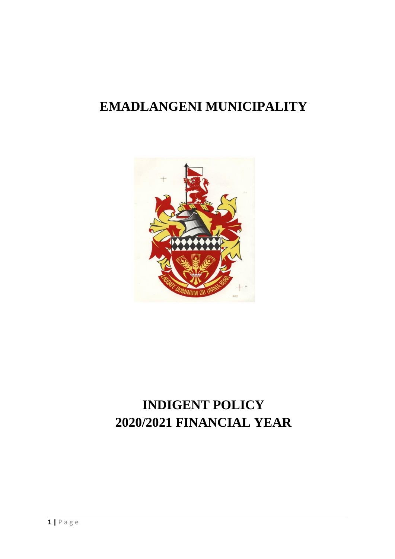# **EMADLANGENI MUNICIPALITY**



# **INDIGENT POLICY 2020/2021 FINANCIAL YEAR**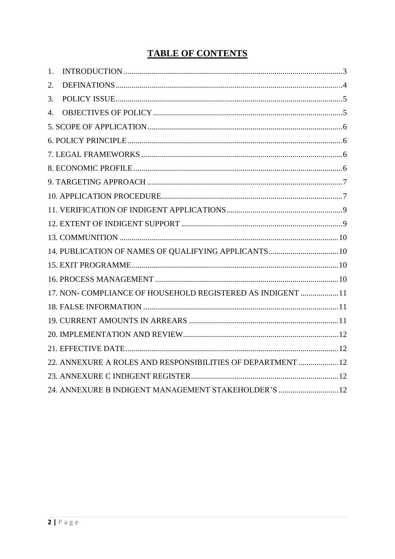# **TABLE OF CONTENTS**

| 1. |                                                             |
|----|-------------------------------------------------------------|
| 2. |                                                             |
| 3. |                                                             |
| 4. |                                                             |
|    |                                                             |
|    |                                                             |
|    |                                                             |
|    |                                                             |
|    |                                                             |
|    |                                                             |
|    |                                                             |
|    |                                                             |
|    |                                                             |
|    | 14. PUBLICATION OF NAMES OF QUALIFYING APPLICANTS 10        |
|    |                                                             |
|    |                                                             |
|    | 17. NON- COMPLIANCE OF HOUSEHOLD REGISTERED AS INDIGENT  11 |
|    |                                                             |
|    |                                                             |
|    |                                                             |
|    |                                                             |
|    | 22. ANNEXURE A ROLES AND RESPONSIBILITIES OF DEPARTMENT  12 |
|    |                                                             |
|    | 24. ANNEXURE B INDIGENT MANAGEMENT STAKEHOLDER'S 12         |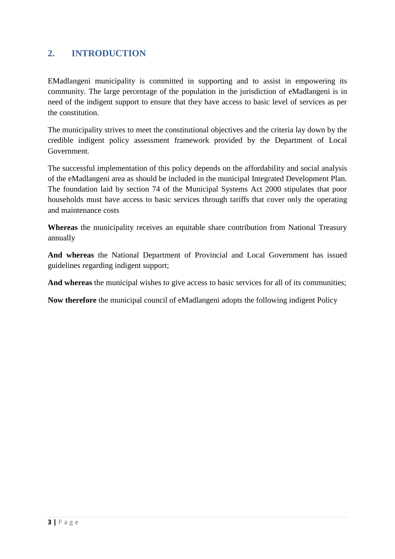### **2. INTRODUCTION**

EMadlangeni municipality is committed in supporting and to assist in empowering its community. The large percentage of the population in the jurisdiction of eMadlangeni is in need of the indigent support to ensure that they have access to basic level of services as per the constitution.

The municipality strives to meet the constitutional objectives and the criteria lay down by the credible indigent policy assessment framework provided by the Department of Local Government.

The successful implementation of this policy depends on the affordability and social analysis of the eMadlangeni area as should be included in the municipal Integrated Development Plan. The foundation laid by section 74 of the Municipal Systems Act 2000 stipulates that poor households must have access to basic services through tariffs that cover only the operating and maintenance costs

**Whereas** the municipality receives an equitable share contribution from National Treasury annually

**And whereas** the National Department of Provincial and Local Government has issued guidelines regarding indigent support;

**And whereas** the municipal wishes to give access to basic services for all of its communities;

**Now therefore** the municipal council of eMadlangeni adopts the following indigent Policy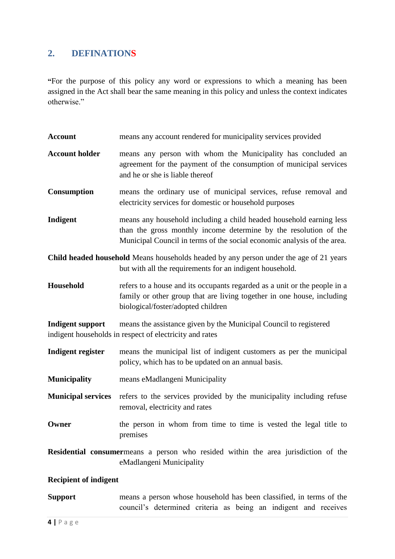### **2. DEFINATIONS**

**"**For the purpose of this policy any word or expressions to which a meaning has been assigned in the Act shall bear the same meaning in this policy and unless the context indicates otherwise."

| <b>Account</b>                                                                                                                                     | means any account rendered for municipality services provided                                                                                                                                                      |  |  |  |  |  |
|----------------------------------------------------------------------------------------------------------------------------------------------------|--------------------------------------------------------------------------------------------------------------------------------------------------------------------------------------------------------------------|--|--|--|--|--|
| <b>Account holder</b>                                                                                                                              | means any person with whom the Municipality has concluded an<br>agreement for the payment of the consumption of municipal services<br>and he or she is liable thereof                                              |  |  |  |  |  |
| <b>Consumption</b>                                                                                                                                 | means the ordinary use of municipal services, refuse removal and<br>electricity services for domestic or household purposes                                                                                        |  |  |  |  |  |
| Indigent                                                                                                                                           | means any household including a child headed household earning less<br>than the gross monthly income determine by the resolution of the<br>Municipal Council in terms of the social economic analysis of the area. |  |  |  |  |  |
| Child headed household Means households headed by any person under the age of 21 years<br>but with all the requirements for an indigent household. |                                                                                                                                                                                                                    |  |  |  |  |  |
| Household                                                                                                                                          | refers to a house and its occupants regarded as a unit or the people in a<br>family or other group that are living together in one house, including<br>biological/foster/adopted children                          |  |  |  |  |  |
| <b>Indigent support</b>                                                                                                                            | means the assistance given by the Municipal Council to registered<br>indigent households in respect of electricity and rates                                                                                       |  |  |  |  |  |
| Indigent register                                                                                                                                  | means the municipal list of indigent customers as per the municipal<br>policy, which has to be updated on an annual basis.                                                                                         |  |  |  |  |  |
| <b>Municipality</b>                                                                                                                                | means eMadlangeni Municipality                                                                                                                                                                                     |  |  |  |  |  |
| <b>Municipal services</b>                                                                                                                          | refers to the services provided by the municipality including refuse<br>removal, electricity and rates                                                                                                             |  |  |  |  |  |
| Owner                                                                                                                                              | the person in whom from time to time is vested the legal title to<br>premises                                                                                                                                      |  |  |  |  |  |
|                                                                                                                                                    | Residential consumermeans a person who resided within the area jurisdiction of the<br>eMadlangeni Municipality                                                                                                     |  |  |  |  |  |
| <b>Recipient of indigent</b>                                                                                                                       |                                                                                                                                                                                                                    |  |  |  |  |  |
| <b>Support</b>                                                                                                                                     | means a person whose household has been classified, in terms of the                                                                                                                                                |  |  |  |  |  |

council's determined criteria as being an indigent and receives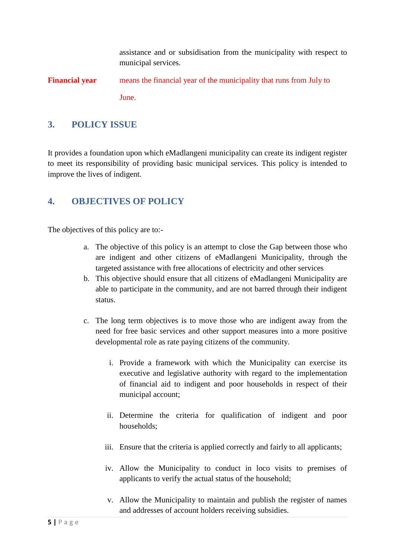assistance and or subsidisation from the municipality with respect to municipal services.

**Financial year** means the financial year of the municipality that runs from July to June.

### **3. POLICY ISSUE**

It provides a foundation upon which eMadlangeni municipality can create its indigent register to meet its responsibility of providing basic municipal services. This policy is intended to improve the lives of indigent.

### **4. OBJECTIVES OF POLICY**

The objectives of this policy are to:-

- a. The objective of this policy is an attempt to close the Gap between those who are indigent and other citizens of eMadlangeni Municipality, through the targeted assistance with free allocations of electricity and other services
- b. This objective should ensure that all citizens of eMadlangeni Municipality are able to participate in the community, and are not barred through their indigent status.
- c. The long term objectives is to move those who are indigent away from the need for free basic services and other support measures into a more positive developmental role as rate paying citizens of the community.
	- i. Provide a framework with which the Municipality can exercise its executive and legislative authority with regard to the implementation of financial aid to indigent and poor households in respect of their municipal account;
	- ii. Determine the criteria for qualification of indigent and poor households;
	- iii. Ensure that the criteria is applied correctly and fairly to all applicants;
	- iv. Allow the Municipality to conduct in loco visits to premises of applicants to verify the actual status of the household;
	- v. Allow the Municipality to maintain and publish the register of names and addresses of account holders receiving subsidies.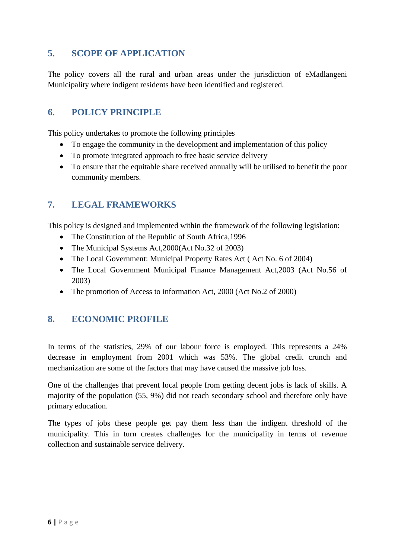### <span id="page-5-0"></span>**5. SCOPE OF APPLICATION**

The policy covers all the rural and urban areas under the jurisdiction of eMadlangeni Municipality where indigent residents have been identified and registered.

### <span id="page-5-1"></span>**6. POLICY PRINCIPLE**

This policy undertakes to promote the following principles

- To engage the community in the development and implementation of this policy
- To promote integrated approach to free basic service delivery
- To ensure that the equitable share received annually will be utilised to benefit the poor community members.

### <span id="page-5-2"></span>**7. LEGAL FRAMEWORKS**

This policy is designed and implemented within the framework of the following legislation:

- The Constitution of the Republic of South Africa, 1996
- The Municipal Systems Act, 2000 (Act No.32 of 2003)
- The Local Government: Municipal Property Rates Act (Act No. 6 of 2004)
- The Local Government Municipal Finance Management Act,2003 (Act No.56 of 2003)
- The promotion of Access to information Act, 2000 (Act No.2 of 2000)

### <span id="page-5-3"></span>**8. ECONOMIC PROFILE**

In terms of the statistics, 29% of our labour force is employed. This represents a 24% decrease in employment from 2001 which was 53%. The global credit crunch and mechanization are some of the factors that may have caused the massive job loss.

One of the challenges that prevent local people from getting decent jobs is lack of skills. A majority of the population (55, 9%) did not reach secondary school and therefore only have primary education.

The types of jobs these people get pay them less than the indigent threshold of the municipality. This in turn creates challenges for the municipality in terms of revenue collection and sustainable service delivery.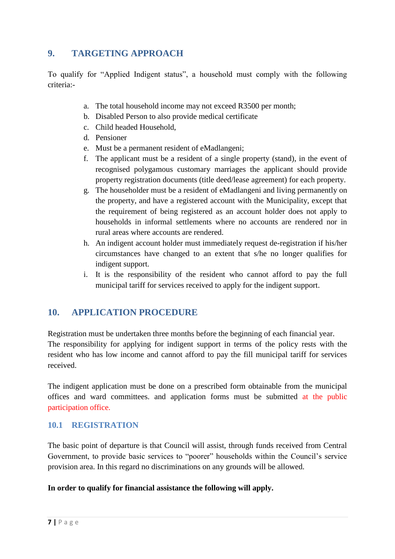### <span id="page-6-0"></span>**9. TARGETING APPROACH**

To qualify for "Applied Indigent status", a household must comply with the following criteria:-

- a. The total household income may not exceed R3500 per month;
- b. Disabled Person to also provide medical certificate
- c. Child headed Household,
- d. Pensioner
- e. Must be a permanent resident of eMadlangeni;
- f. The applicant must be a resident of a single property (stand), in the event of recognised polygamous customary marriages the applicant should provide property registration documents (title deed/lease agreement) for each property.
- g. The householder must be a resident of eMadlangeni and living permanently on the property, and have a registered account with the Municipality, except that the requirement of being registered as an account holder does not apply to households in informal settlements where no accounts are rendered nor in rural areas where accounts are rendered.
- h. An indigent account holder must immediately request de-registration if his/her circumstances have changed to an extent that s/he no longer qualifies for indigent support.
- i. It is the responsibility of the resident who cannot afford to pay the full municipal tariff for services received to apply for the indigent support.

### <span id="page-6-1"></span>**10. APPLICATION PROCEDURE**

Registration must be undertaken three months before the beginning of each financial year. The responsibility for applying for indigent support in terms of the policy rests with the resident who has low income and cannot afford to pay the fill municipal tariff for services received.

The indigent application must be done on a prescribed form obtainable from the municipal offices and ward committees. and application forms must be submitted at the public participation office.

### **10.1 REGISTRATION**

The basic point of departure is that Council will assist, through funds received from Central Government, to provide basic services to "poorer" households within the Council's service provision area. In this regard no discriminations on any grounds will be allowed.

#### **In order to qualify for financial assistance the following will apply.**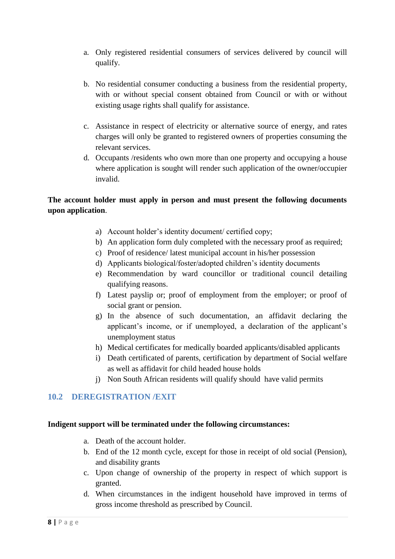- a. Only registered residential consumers of services delivered by council will qualify.
- b. No residential consumer conducting a business from the residential property, with or without special consent obtained from Council or with or without existing usage rights shall qualify for assistance.
- c. Assistance in respect of electricity or alternative source of energy, and rates charges will only be granted to registered owners of properties consuming the relevant services.
- d. Occupants /residents who own more than one property and occupying a house where application is sought will render such application of the owner/occupier invalid.

### **The account holder must apply in person and must present the following documents upon application**.

- a) Account holder's identity document/ certified copy;
- b) An application form duly completed with the necessary proof as required;
- c) Proof of residence/ latest municipal account in his/her possession
- d) Applicants biological/foster/adopted children's identity documents
- e) Recommendation by ward councillor or traditional council detailing qualifying reasons.
- f) Latest payslip or; proof of employment from the employer; or proof of social grant or pension.
- g) In the absence of such documentation, an affidavit declaring the applicant's income, or if unemployed, a declaration of the applicant's unemployment status
- h) Medical certificates for medically boarded applicants/disabled applicants
- i) Death certificated of parents, certification by department of Social welfare as well as affidavit for child headed house holds
- j) Non South African residents will qualify should have valid permits

### **10.2 DEREGISTRATION /EXIT**

#### **Indigent support will be terminated under the following circumstances:**

- a. Death of the account holder.
- b. End of the 12 month cycle, except for those in receipt of old social (Pension), and disability grants
- c. Upon change of ownership of the property in respect of which support is granted.
- d. When circumstances in the indigent household have improved in terms of gross income threshold as prescribed by Council.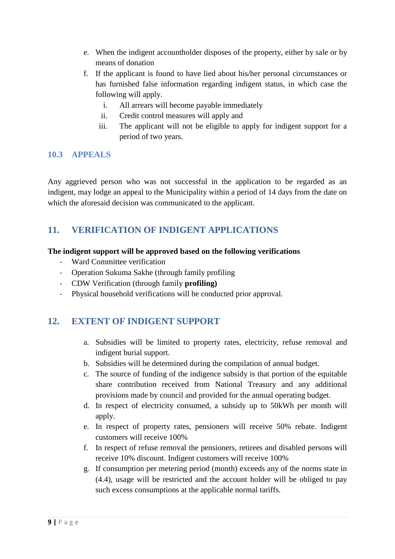- e. When the indigent accountholder disposes of the property, either by sale or by means of donation
- f. If the applicant is found to have lied about his/her personal circumstances or has furnished false information regarding indigent status, in which case the following will apply.
	- i. All arrears will become payable immediately
	- ii. Credit control measures will apply and
	- iii. The applicant will not be eligible to apply for indigent support for a period of two years.

### **10.3 APPEALS**

Any aggrieved person who was not successful in the application to be regarded as an indigent, may lodge an appeal to the Municipality within a period of 14 days from the date on which the aforesaid decision was communicated to the applicant.

### <span id="page-8-0"></span>**11. VERIFICATION OF INDIGENT APPLICATIONS**

### **The indigent support will be approved based on the following verifications**

- Ward Committee verification
- Operation Sukuma Sakhe (through family profiling
- CDW Verification (through family **profiling)**
- Physical household verifications will be conducted prior approval.

# <span id="page-8-1"></span>**12. EXTENT OF INDIGENT SUPPORT**

- a. Subsidies will be limited to property rates, electricity, refuse removal and indigent burial support.
- b. Subsidies will be determined during the compilation of annual budget.
- c. The source of funding of the indigence subsidy is that portion of the equitable share contribution received from National Treasury and any additional provisions made by council and provided for the annual operating budget.
- d. In respect of electricity consumed, a subsidy up to 50kWh per month will apply.
- e. In respect of property rates, pensioners will receive 50% rebate. Indigent customers will receive 100%
- f. In respect of refuse removal the pensioners, retirees and disabled persons will receive 10% discount. Indigent customers will receive 100%
- g. If consumption per metering period (month) exceeds any of the norms state in (4.4), usage will be restricted and the account holder will be obliged to pay such excess consumptions at the applicable normal tariffs.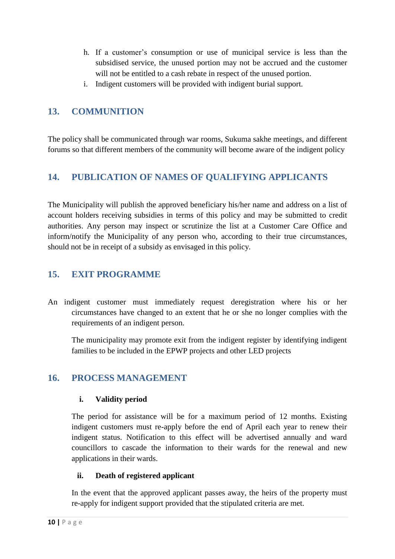- h. If a customer's consumption or use of municipal service is less than the subsidised service, the unused portion may not be accrued and the customer will not be entitled to a cash rebate in respect of the unused portion.
- i. Indigent customers will be provided with indigent burial support.

### <span id="page-9-0"></span>**13. COMMUNITION**

The policy shall be communicated through war rooms, Sukuma sakhe meetings, and different forums so that different members of the community will become aware of the indigent policy

# <span id="page-9-1"></span>**14. PUBLICATION OF NAMES OF QUALIFYING APPLICANTS**

The Municipality will publish the approved beneficiary his/her name and address on a list of account holders receiving subsidies in terms of this policy and may be submitted to credit authorities. Any person may inspect or scrutinize the list at a Customer Care Office and inform/notify the Municipality of any person who, according to their true circumstances, should not be in receipt of a subsidy as envisaged in this policy.

### <span id="page-9-2"></span>**15. EXIT PROGRAMME**

An indigent customer must immediately request deregistration where his or her circumstances have changed to an extent that he or she no longer complies with the requirements of an indigent person.

The municipality may promote exit from the indigent register by identifying indigent families to be included in the EPWP projects and other LED projects

### <span id="page-9-3"></span>**16. PROCESS MANAGEMENT**

### **i. Validity period**

The period for assistance will be for a maximum period of 12 months. Existing indigent customers must re-apply before the end of April each year to renew their indigent status. Notification to this effect will be advertised annually and ward councillors to cascade the information to their wards for the renewal and new applications in their wards.

### **ii. Death of registered applicant**

In the event that the approved applicant passes away, the heirs of the property must re-apply for indigent support provided that the stipulated criteria are met.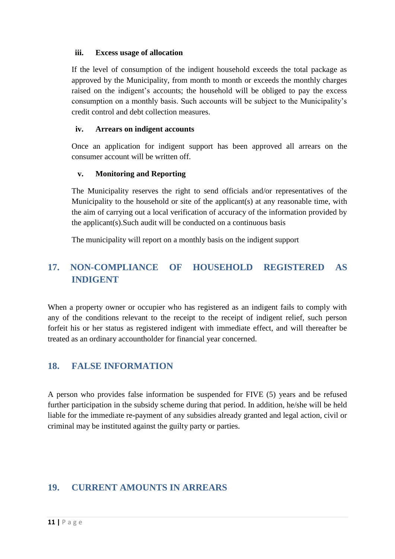#### **iii. Excess usage of allocation**

If the level of consumption of the indigent household exceeds the total package as approved by the Municipality, from month to month or exceeds the monthly charges raised on the indigent's accounts; the household will be obliged to pay the excess consumption on a monthly basis. Such accounts will be subject to the Municipality's credit control and debt collection measures.

#### **iv. Arrears on indigent accounts**

Once an application for indigent support has been approved all arrears on the consumer account will be written off.

#### **v. Monitoring and Reporting**

The Municipality reserves the right to send officials and/or representatives of the Municipality to the household or site of the applicant(s) at any reasonable time, with the aim of carrying out a local verification of accuracy of the information provided by the applicant(s).Such audit will be conducted on a continuous basis

The municipality will report on a monthly basis on the indigent support

# <span id="page-10-0"></span>**17. NON-COMPLIANCE OF HOUSEHOLD REGISTERED AS INDIGENT**

When a property owner or occupier who has registered as an indigent fails to comply with any of the conditions relevant to the receipt to the receipt of indigent relief, such person forfeit his or her status as registered indigent with immediate effect, and will thereafter be treated as an ordinary accountholder for financial year concerned.

### <span id="page-10-1"></span>**18. FALSE INFORMATION**

A person who provides false information be suspended for FIVE (5) years and be refused further participation in the subsidy scheme during that period. In addition, he/she will be held liable for the immediate re-payment of any subsidies already granted and legal action, civil or criminal may be instituted against the guilty party or parties.

### <span id="page-10-2"></span>**19. CURRENT AMOUNTS IN ARREARS**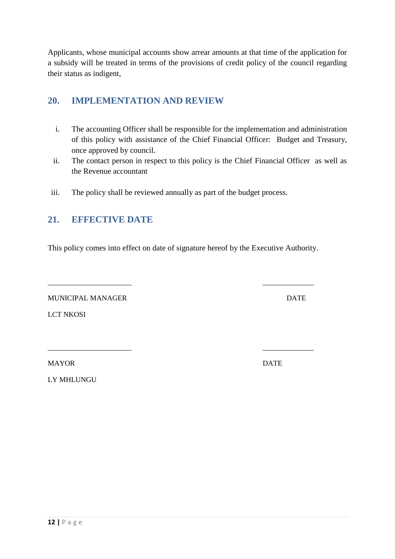Applicants, whose municipal accounts show arrear amounts at that time of the application for a subsidy will be treated in terms of the provisions of credit policy of the council regarding their status as indigent,

### <span id="page-11-0"></span>**20. IMPLEMENTATION AND REVIEW**

- i. The accounting Officer shall be responsible for the implementation and administration of this policy with assistance of the Chief Financial Officer: Budget and Treasury, once approved by council.
- ii. The contact person in respect to this policy is the Chief Financial Officer as well as the Revenue accountant
- iii. The policy shall be reviewed annually as part of the budget process.

### <span id="page-11-1"></span>**21. EFFECTIVE DATE**

This policy comes into effect on date of signature hereof by the Executive Authority.

\_\_\_\_\_\_\_\_\_\_\_\_\_\_\_\_\_\_\_\_\_\_\_ \_\_\_\_\_\_\_\_\_\_\_\_\_\_

\_\_\_\_\_\_\_\_\_\_\_\_\_\_\_\_\_\_\_\_\_\_\_ \_\_\_\_\_\_\_\_\_\_\_\_\_\_

MUNICIPAL MANAGER DATE

LCT NKOSI

MAYOR DATE

LY MHLUNGU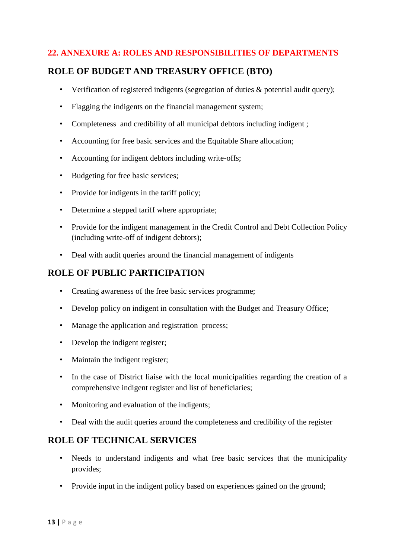### **22. ANNEXURE A: ROLES AND RESPONSIBILITIES OF DEPARTMENTS**

### **ROLE OF BUDGET AND TREASURY OFFICE (BTO)**

- Verification of registered indigents (segregation of duties & potential audit query);
- Flagging the indigents on the financial management system;
- Completeness and credibility of all municipal debtors including indigent ;
- Accounting for free basic services and the Equitable Share allocation;
- Accounting for indigent debtors including write-offs;
- Budgeting for free basic services;
- Provide for indigents in the tariff policy;
- Determine a stepped tariff where appropriate;
- Provide for the indigent management in the Credit Control and Debt Collection Policy (including write-off of indigent debtors);
- Deal with audit queries around the financial management of indigents

### **ROLE OF PUBLIC PARTICIPATION**

- Creating awareness of the free basic services programme;
- Develop policy on indigent in consultation with the Budget and Treasury Office;
- Manage the application and registration process;
- Develop the indigent register;
- Maintain the indigent register:
- In the case of District liaise with the local municipalities regarding the creation of a comprehensive indigent register and list of beneficiaries;
- Monitoring and evaluation of the indigents;
- Deal with the audit queries around the completeness and credibility of the register

### **ROLE OF TECHNICAL SERVICES**

- Needs to understand indigents and what free basic services that the municipality provides;
- Provide input in the indigent policy based on experiences gained on the ground;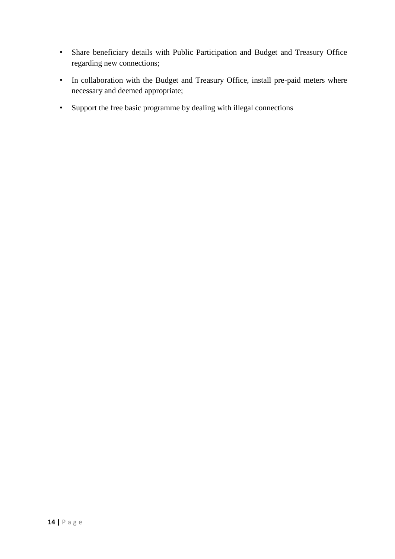- Share beneficiary details with Public Participation and Budget and Treasury Office regarding new connections;
- In collaboration with the Budget and Treasury Office, install pre-paid meters where necessary and deemed appropriate;
- Support the free basic programme by dealing with illegal connections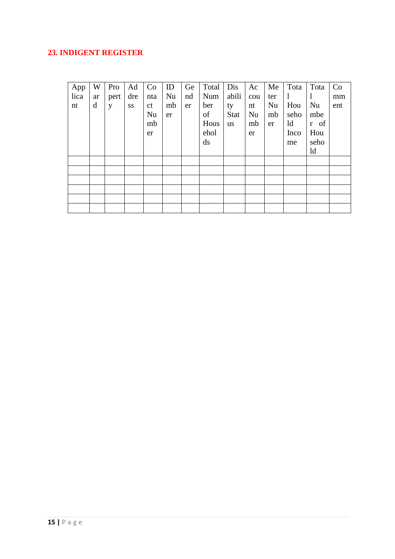### 23. INDIGENT REGISTER

| App  | W  | Pro  | Ad  | Co            | ID | Ge | Total | Dis         | Ac  | Me  | Tota | Tota | Co  |
|------|----|------|-----|---------------|----|----|-------|-------------|-----|-----|------|------|-----|
| lica | ar | pert | dre | nta           | Nu | nd | Num   | abili       | cou | ter | 1    | 1    | mm  |
| nt   | d  | y    | SS  | <sub>ct</sub> | mb | er | ber   | ty          | nt  | Nu  | Hou  | Nu   | ent |
|      |    |      |     | Nu            | er |    | of    | <b>Stat</b> | Nu  | mb  | seho | mbe  |     |
|      |    |      |     | mb            |    |    | Hous  | <b>us</b>   | mb  | er  | ld   | r of |     |
|      |    |      |     | er            |    |    | ehol  |             | er  |     | Inco | Hou  |     |
|      |    |      |     |               |    |    | ds    |             |     |     | me   | seho |     |
|      |    |      |     |               |    |    |       |             |     |     |      | ld   |     |
|      |    |      |     |               |    |    |       |             |     |     |      |      |     |
|      |    |      |     |               |    |    |       |             |     |     |      |      |     |
|      |    |      |     |               |    |    |       |             |     |     |      |      |     |
|      |    |      |     |               |    |    |       |             |     |     |      |      |     |
|      |    |      |     |               |    |    |       |             |     |     |      |      |     |
|      |    |      |     |               |    |    |       |             |     |     |      |      |     |